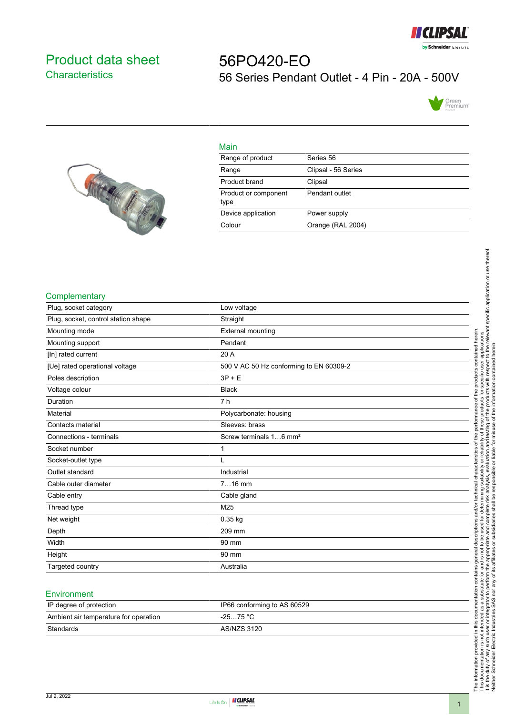

## <span id="page-0-0"></span>Product data sheet **Characteristics**

# 56PO420-EO 56 Series Pendant Outlet - 4 Pin - 20A - 500V





| Main                         |                     |
|------------------------------|---------------------|
| Range of product             | Series 56           |
| Range                        | Clipsal - 56 Series |
| Product brand                | Clipsal             |
| Product or component<br>type | Pendant outlet      |
| Device application           | Power supply        |
| Colour                       | Orange (RAL 2004)   |

#### **Complementary**

| Plug, socket category               | Low voltage                             |
|-------------------------------------|-----------------------------------------|
| Plug, socket, control station shape | Straight                                |
| Mounting mode                       | External mounting                       |
| Mounting support                    | Pendant                                 |
| [In] rated current                  | 20 A                                    |
| [Ue] rated operational voltage      | 500 V AC 50 Hz conforming to EN 60309-2 |
| Poles description                   | $3P + E$                                |
| Voltage colour                      | <b>Black</b>                            |
| Duration                            | 7 <sub>h</sub>                          |
| Material                            | Polycarbonate: housing                  |
| Contacts material                   | Sleeves: brass                          |
| Connections - terminals             | Screw terminals 16 mm <sup>2</sup>      |
| Socket number                       | 1                                       |
| Socket-outlet type                  | L                                       |
| Outlet standard                     | Industrial                              |
| Cable outer diameter                | $716$ mm                                |
| Cable entry                         | Cable gland                             |
| Thread type                         | M25                                     |
| Net weight                          | $0.35$ kg                               |
| Depth                               | 209 mm                                  |
| Width                               | 90 mm                                   |
| Height                              | 90 mm                                   |
| Targeted country                    | Australia                               |

#### **Environment**

| IP degree of protection               | IP66 conforming to AS 60529 |
|---------------------------------------|-----------------------------|
| Ambient air temperature for operation | $-2575 °C$                  |
| Standards                             | AS/NZS 3120                 |